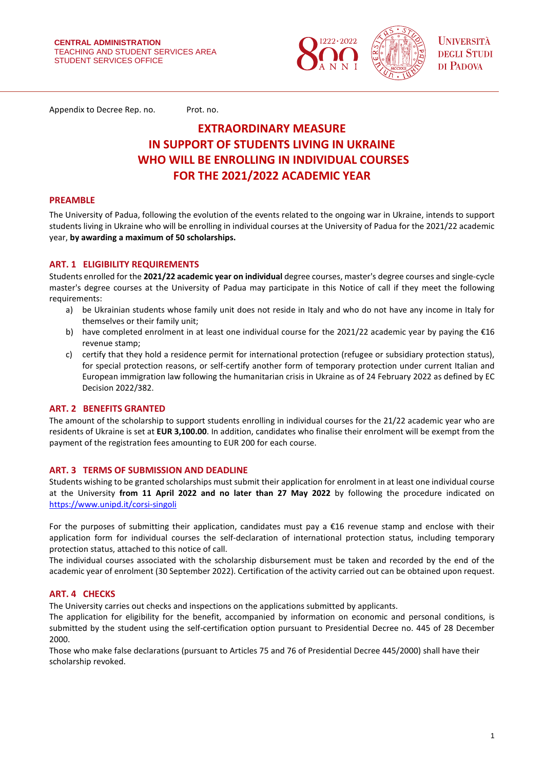

Appendix to Decree Rep. no. Prot. no.

# **EXTRAORDINARY MEASURE IN SUPPORT OF STUDENTS LIVING IN UKRAINE WHO WILL BE ENROLLING IN INDIVIDUAL COURSES FOR THE 2021/2022 ACADEMIC YEAR**

#### **PREAMBLE**

The University of Padua, following the evolution of the events related to the ongoing war in Ukraine, intends to support students living in Ukraine who will be enrolling in individual courses at the University of Padua for the 2021/22 academic year, **by awarding a maximum of 50 scholarships.**

#### **ART. 1 ELIGIBILITY REQUIREMENTS**

Students enrolled for the **2021/22 academic year on individual** degree courses, master's degree courses and single-cycle master's degree courses at the University of Padua may participate in this Notice of call if they meet the following requirements:

- a) be Ukrainian students whose family unit does not reside in Italy and who do not have any income in Italy for themselves or their family unit;
- b) have completed enrolment in at least one individual course for the 2021/22 academic year by paying the €16 revenue stamp;
- c) certify that they hold a residence permit for international protection (refugee or subsidiary protection status), for special protection reasons, or self-certify another form of temporary protection under current Italian and European immigration law following the humanitarian crisis in Ukraine as of 24 February 2022 as defined by EC Decision 2022/382.

#### **ART. 2 BENEFITS GRANTED**

The amount of the scholarship to support students enrolling in individual courses for the 21/22 academic year who are residents of Ukraine is set at **EUR 3,100.00**. In addition, candidates who finalise their enrolment will be exempt from the payment of the registration fees amounting to EUR 200 for each course.

#### **ART. 3 TERMS OF SUBMISSION AND DEADLINE**

Students wishing to be granted scholarships must submit their application for enrolment in at least one individual course at the University **from 11 April 2022 and no later than 27 May 2022** by following the procedure indicated on <https://www.unipd.it/corsi-singoli>

For the purposes of submitting their application, candidates must pay a  $E16$  revenue stamp and enclose with their application form for individual courses the self-declaration of international protection status, including temporary protection status, attached to this notice of call.

The individual courses associated with the scholarship disbursement must be taken and recorded by the end of the academic year of enrolment (30 September 2022). Certification of the activity carried out can be obtained upon request.

## **ART. 4 CHECKS**

The University carries out checks and inspections on the applications submitted by applicants.

The application for eligibility for the benefit, accompanied by information on economic and personal conditions, is submitted by the student using the self-certification option pursuant to Presidential Decree no. 445 of 28 December 2000.

Those who make false declarations (pursuant to Articles 75 and 76 of Presidential Decree 445/2000) shall have their scholarship revoked.